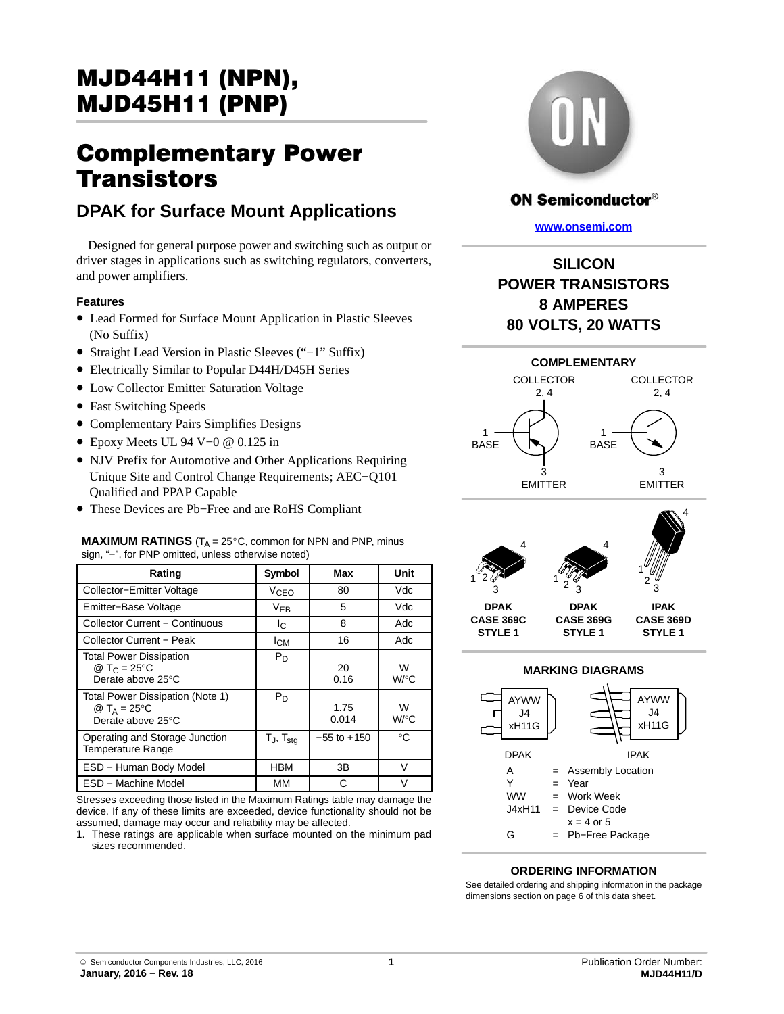## Complementary Power **Transistors**

## **DPAK for Surface Mount Applications**

Designed for general purpose power and switching such as output or driver stages in applications such as switching regulators, converters, and power amplifiers.

### **Features**

- Lead Formed for Surface Mount Application in Plastic Sleeves (No Suffix)
- Straight Lead Version in Plastic Sleeves ("−1" Suffix)
- Electrically Similar to Popular D44H/D45H Series
- Low Collector Emitter Saturation Voltage
- Fast Switching Speeds
- Complementary Pairs Simplifies Designs
- Epoxy Meets UL 94 V−0 @ 0.125 in
- NJV Prefix for Automotive and Other Applications Requiring Unique Site and Control Change Requirements; AEC−Q101 Qualified and PPAP Capable

**MAXIMUM RATINGS** (T<sub>A</sub> = 25°C, common for NPN and PNP, minus

• These Devices are Pb−Free and are RoHS Compliant

| sign, "-", for PNP omitted, unless otherwise noted)                             |                        |                 |           |  |  |
|---------------------------------------------------------------------------------|------------------------|-----------------|-----------|--|--|
| Rating                                                                          | Symbol                 | Max             | Unit      |  |  |
| Collector-Emitter Voltage                                                       | <b>V<sub>CEO</sub></b> | 80              | Vdc       |  |  |
| Emitter-Base Voltage                                                            | $V_{EB}$               | 5               | Vdc       |  |  |
| <b>Collector Current - Continuous</b>                                           | Ιc                     | 8               | Adc       |  |  |
| Collector Current - Peak                                                        | Iсм                    | 16              | Adc       |  |  |
| <b>Total Power Dissipation</b><br>@ T <sub>C</sub> = 25 °C<br>Derate above 25°C | $P_D$                  | 20<br>0.16      | W<br>W/°C |  |  |
| Total Power Dissipation (Note 1)<br>@ $T_A = 25$ °C<br>Derate above 25°C        | $P_D$                  | 1.75<br>0.014   | W<br>W/°C |  |  |
| Operating and Storage Junction<br><b>Temperature Range</b>                      | $T_J$ , $T_{stq}$      | $-55$ to $+150$ | °C        |  |  |
| ESD - Human Body Model                                                          | <b>HBM</b>             | 3B              | $\vee$    |  |  |
| ESD - Machine Model                                                             | MМ                     | С               | v         |  |  |

Stresses exceeding those listed in the Maximum Ratings table may damage the device. If any of these limits are exceeded, device functionality should not be assumed, damage may occur and reliability may be affected.

1. These ratings are applicable when surface mounted on the minimum pad sizes recommended.



## **ON Semiconductor®**

**[www.onsemi.com]( http://www.onsemi.com/)**







## **MARKING DIAGRAMS**



### **ORDERING INFORMATION**

See detailed ordering and shipping information in the package dimensions section on page [6](#page-5-0) of this data sheet.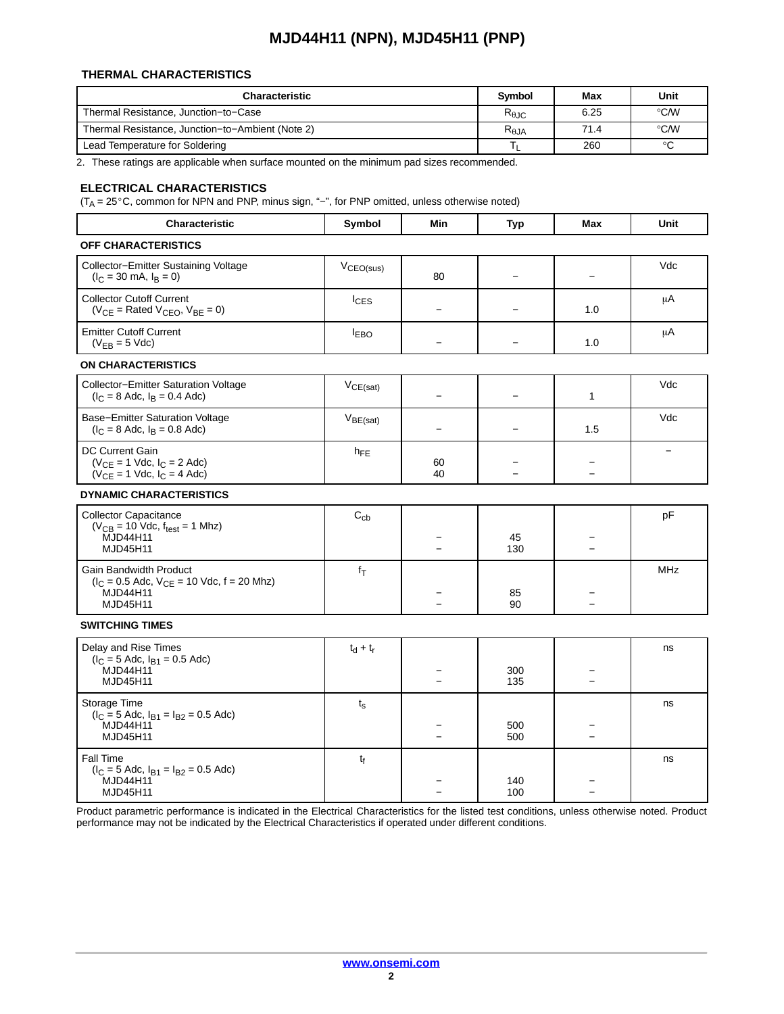### **THERMAL CHARACTERISTICS**

| <b>Characteristic</b>                            | <b>Symbol</b>   | Max  | Unit               |
|--------------------------------------------------|-----------------|------|--------------------|
| Thermal Resistance, Junction-to-Case             | $R_{\theta,IC}$ | 6.25 | °C⁄W               |
| Thermal Resistance, Junction-to-Ambient (Note 2) | $R_{\theta$ JA  | 71.4 | $\rm ^{\circ}$ C/W |
| Lead Temperature for Soldering                   |                 | 260  | $\circ$            |

2. These ratings are applicable when surface mounted on the minimum pad sizes recommended.

# **ELECTRICAL CHARACTERISTICS**<br>(T<sub>A</sub> = 25°C, common for NPN and PNP, m

C, common for NPN and PNP, minus sign, "−", for PNP omitted, unless otherwise noted)

| Characteristic                                                                                                     | Symbol             | Min                      | <b>Typ</b> | <b>Max</b>               | <b>Unit</b> |
|--------------------------------------------------------------------------------------------------------------------|--------------------|--------------------------|------------|--------------------------|-------------|
| OFF CHARACTERISTICS                                                                                                |                    |                          |            |                          |             |
| Collector-Emitter Sustaining Voltage<br>$(I_C = 30 \text{ mA}, I_B = 0)$                                           | $V_{CEO(sus)}$     | 80                       |            | $\overline{\phantom{0}}$ | Vdc         |
| <b>Collector Cutoff Current</b><br>$(V_{CE}$ = Rated $V_{CEO}$ , $V_{BE}$ = 0)                                     | $lc$ <sub>ES</sub> | $\overline{\phantom{0}}$ |            | 1.0                      | μA          |
| <b>Emitter Cutoff Current</b><br>$(V_{EB} = 5$ Vdc)                                                                | <b>IEBO</b>        |                          |            | 1.0                      | μA          |
| <b>ON CHARACTERISTICS</b>                                                                                          |                    |                          |            |                          |             |
| Collector-Emitter Saturation Voltage<br>$(I_C = 8$ Adc, $I_B = 0.4$ Adc)                                           | $V_{CE(sat)}$      | $\equiv$                 |            | $\mathbf{1}$             | Vdc         |
| Base-Emitter Saturation Voltage<br>$(I_C = 8$ Adc, $I_B = 0.8$ Adc)                                                | $V_{BE(sat)}$      |                          |            | 1.5                      | Vdc         |
| <b>DC Current Gain</b><br>$(V_{CE} = 1$ Vdc, $I_C = 2$ Adc)<br>$(V_{CE} = 1$ Vdc, $I_C = 4$ Adc)                   | $h_{FE}$           | 60<br>40                 | $\equiv$   | $\overline{\phantom{a}}$ |             |
| <b>DYNAMIC CHARACTERISTICS</b>                                                                                     |                    |                          |            |                          |             |
| <b>Collector Capacitance</b><br>$(V_{CB} = 10$ Vdc, $f_{test} = 1$ Mhz)<br><b>MJD44H11</b><br>MJD45H11             | $C_{cb}$           |                          | 45<br>130  |                          | pF          |
| Gain Bandwidth Product<br>$(I_C = 0.5$ Adc, $V_{CE} = 10$ Vdc, $f = 20$ Mhz)<br><b>MJD44H11</b><br><b>MJD45H11</b> | $f_T$              |                          | 85<br>90   |                          | <b>MHz</b>  |
| <b>SWITCHING TIMES</b>                                                                                             |                    |                          |            |                          |             |
| Delay and Rise Times<br>$(I_C = 5$ Adc, $I_{B1} = 0.5$ Adc)<br><b>MJD44H11</b><br>MJD45H11                         | $t_d + t_r$        |                          | 300<br>135 | $\overline{a}$           | ns          |
| Storage Time<br>$(I_C = 5$ Adc, $I_{B1} = I_{B2} = 0.5$ Adc)<br>MJD44H11<br>MJD45H11                               | $t_{\rm s}$        | $\overline{\phantom{0}}$ | 500<br>500 | $\equiv$                 | ns          |
| Fall Time<br>$(I_C = 5$ Adc, $I_{B1} = I_{B2} = 0.5$ Adc)<br>MJD44H11<br><b>MJD45H11</b>                           | t <sub>f</sub>     |                          | 140<br>100 |                          | ns          |

Product parametric performance is indicated in the Electrical Characteristics for the listed test conditions, unless otherwise noted. Product performance may not be indicated by the Electrical Characteristics if operated under different conditions.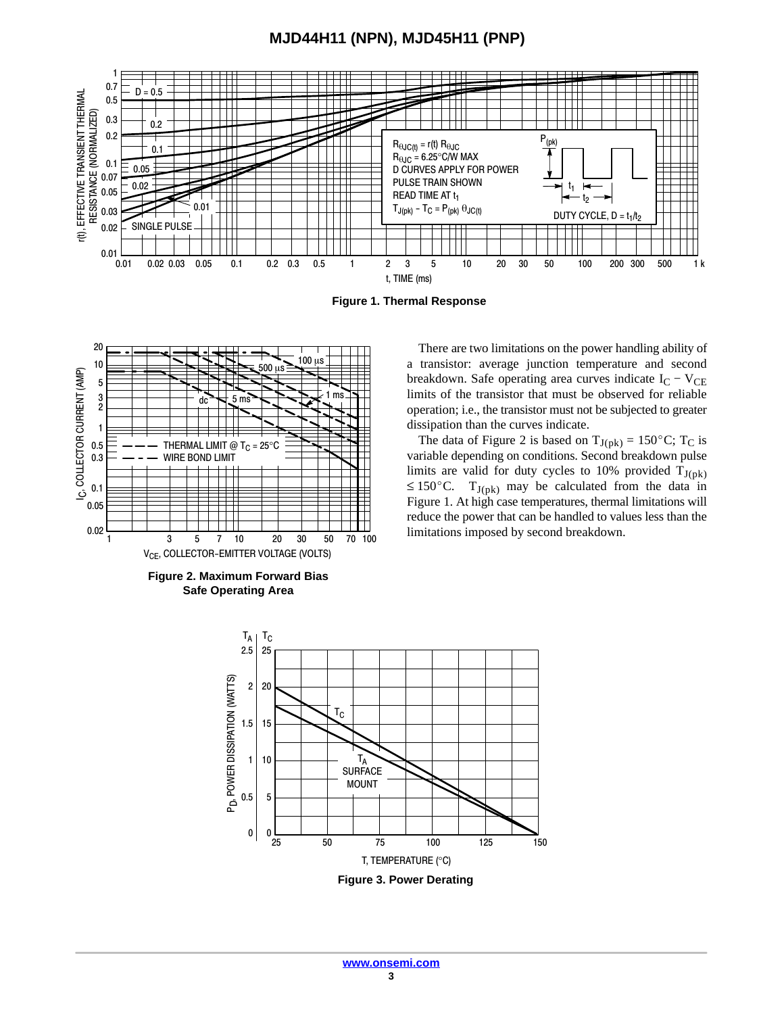

**Figure 1. Thermal Response**





There are two limitations on the power handling ability of a transistor: average junction temperature and second breakdown. Safe operating area curves indicate  $I_C - V_{CE}$ limits of the transistor that must be observed for reliable operation; i.e., the transistor must not be subjected to greater dissipation than the curves indicate. Example, they are almost<br>so ratio to the simulation of the data of Figure 2 is based on  $T_{J(pk)} = 150^{\circ}$ C; T<sub>C</sub> is

variable depending on conditions. Second breakdown pulse limits are valid for duty cycles to 10% provided  $T_{J(pk)} \le 150^{\circ}$ C.  $T_{J(pk)}$  may be calculated from the data in  $\leq 150^{\circ}$ C. T<sub>J(pk)</sub> may be calculated from the data in Figure 1. At high case temperatures, thermal limitations will reduce the power that can be handled to values less than the limitations imposed by second breakdown.

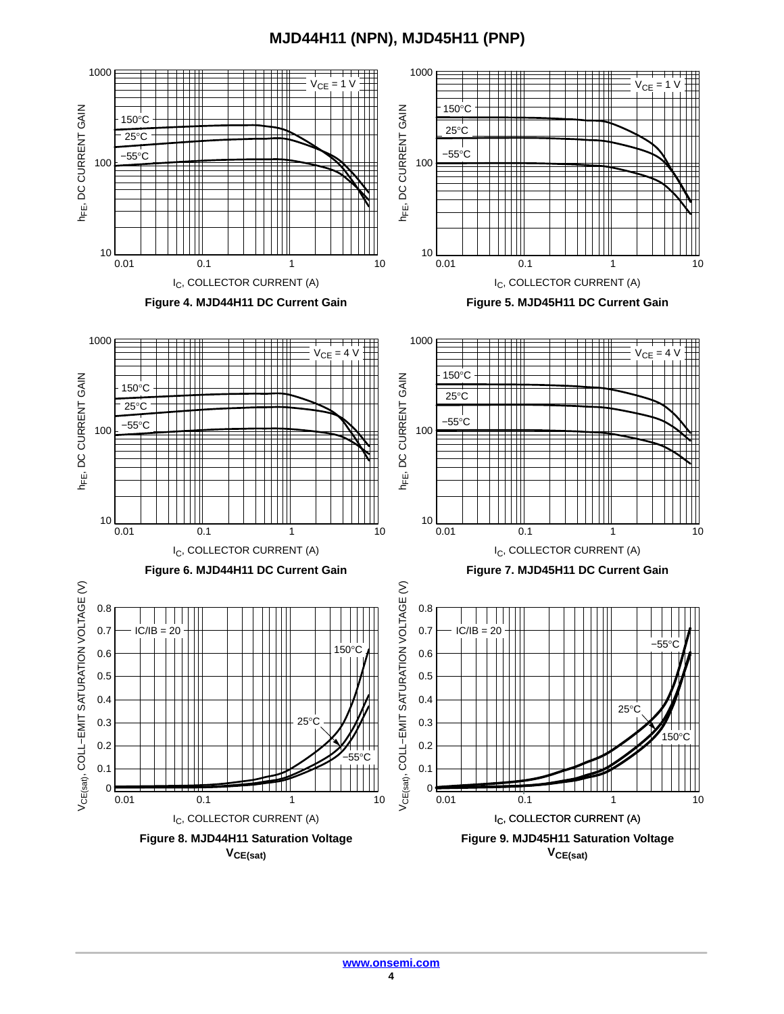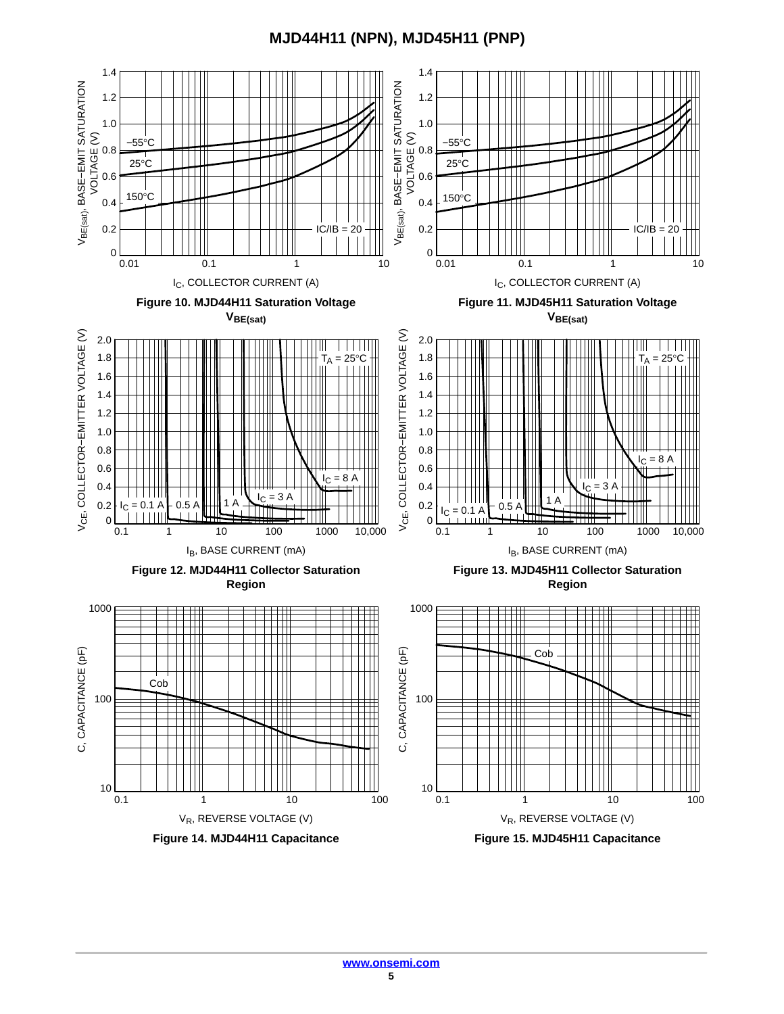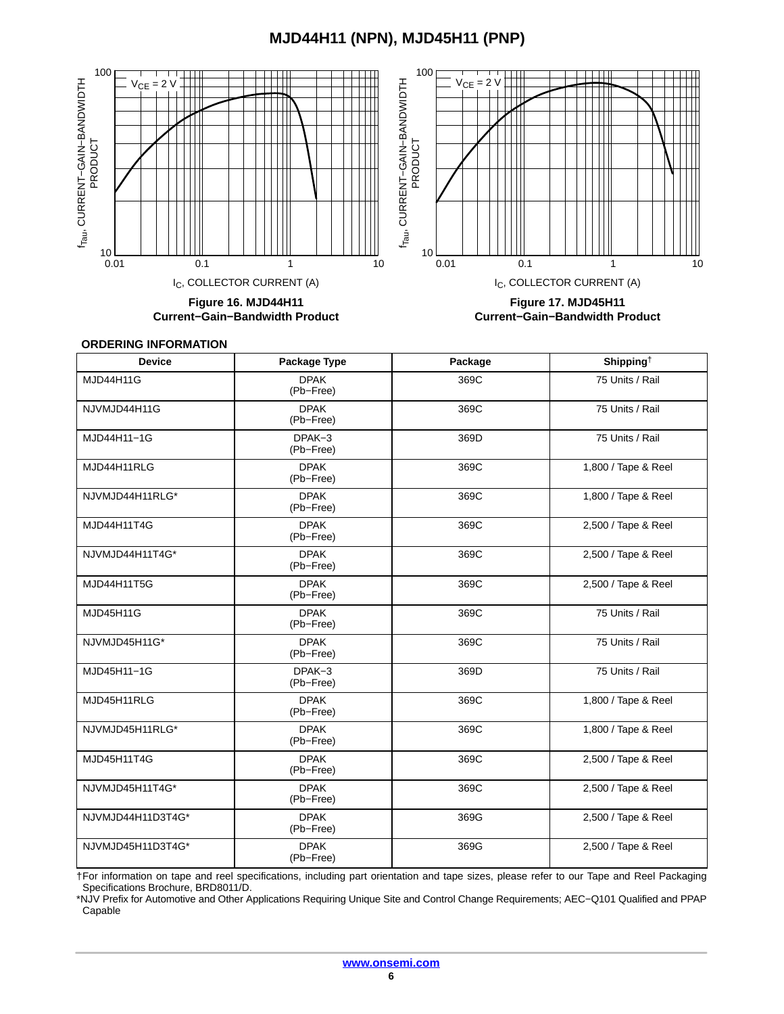<span id="page-5-0"></span>

**Figure 16. MJD44H11 Current−Gain−Bandwidth Product**

**Figure 17. MJD45H11 Current−Gain−Bandwidth Product**

#### **ORDERING INFORMATION**

| <b>Device</b>     | Package Type             | Package | Shipping <sup>†</sup> |
|-------------------|--------------------------|---------|-----------------------|
| <b>MJD44H11G</b>  | <b>DPAK</b><br>(Pb-Free) | 369C    | 75 Units / Rail       |
| NJVMJD44H11G      | <b>DPAK</b><br>(Pb-Free) | 369C    | 75 Units / Rail       |
| MJD44H11-1G       | DPAK-3<br>(Pb-Free)      | 369D    | 75 Units / Rail       |
| MJD44H11RLG       | <b>DPAK</b><br>(Pb-Free) | 369C    | 1,800 / Tape & Reel   |
| NJVMJD44H11RLG*   | <b>DPAK</b><br>(Pb-Free) | 369C    | 1,800 / Tape & Reel   |
| MJD44H11T4G       | <b>DPAK</b><br>(Pb-Free) | 369C    | 2,500 / Tape & Reel   |
| NJVMJD44H11T4G*   | <b>DPAK</b><br>(Pb-Free) | 369C    | 2,500 / Tape & Reel   |
| MJD44H11T5G       | <b>DPAK</b><br>(Pb-Free) | 369C    | 2,500 / Tape & Reel   |
| <b>MJD45H11G</b>  | <b>DPAK</b><br>(Pb-Free) | 369C    | 75 Units / Rail       |
| NJVMJD45H11G*     | <b>DPAK</b><br>(Pb-Free) | 369C    | 75 Units / Rail       |
| MJD45H11-1G       | DPAK-3<br>(Pb-Free)      | 369D    | 75 Units / Rail       |
| MJD45H11RLG       | <b>DPAK</b><br>(Pb-Free) | 369C    | 1,800 / Tape & Reel   |
| NJVMJD45H11RLG*   | <b>DPAK</b><br>(Pb-Free) | 369C    | 1,800 / Tape & Reel   |
| MJD45H11T4G       | <b>DPAK</b><br>(Pb-Free) | 369C    | 2,500 / Tape & Reel   |
| NJVMJD45H11T4G*   | <b>DPAK</b><br>(Pb-Free) | 369C    | 2,500 / Tape & Reel   |
| NJVMJD44H11D3T4G* | <b>DPAK</b><br>(Pb-Free) | 369G    | 2,500 / Tape & Reel   |
| NJVMJD45H11D3T4G* | <b>DPAK</b><br>(Pb-Free) | 369G    | 2,500 / Tape & Reel   |

†For information on tape and reel specifications, including part orientation and tape sizes, please refer to our Tape and Reel Packaging Specifications Brochure, BRD8011/D.

\*NJV Prefix for Automotive and Other Applications Requiring Unique Site and Control Change Requirements; AEC−Q101 Qualified and PPAP Capable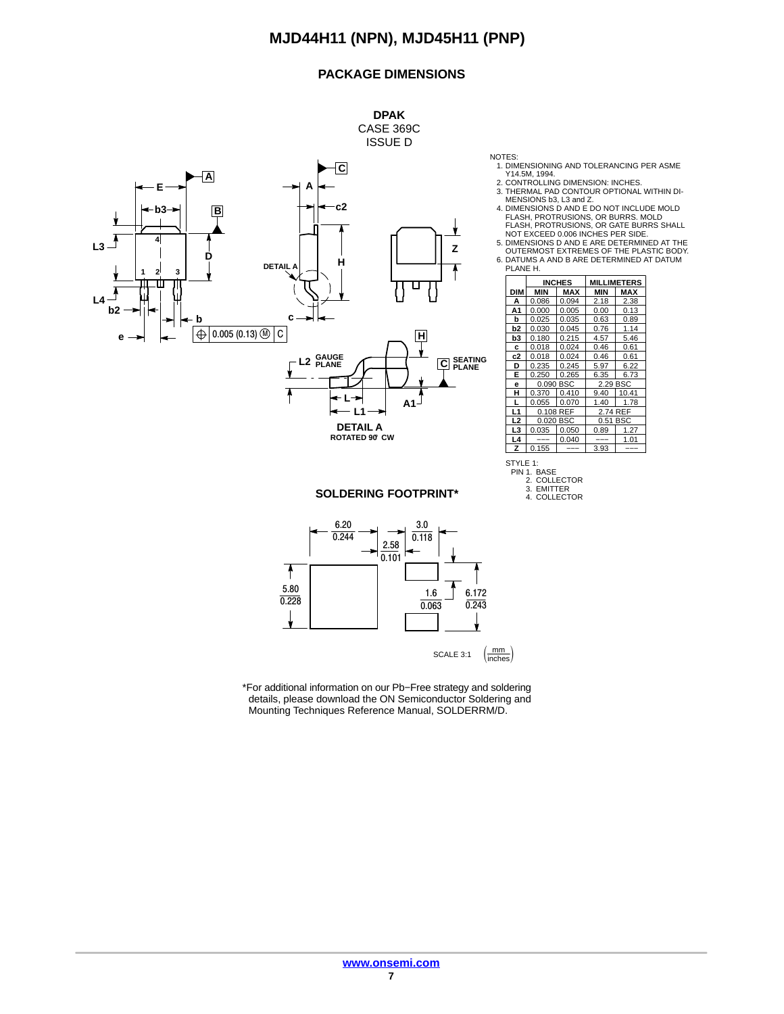### **PACKAGE DIMENSIONS**



- 1. DIMENSIONING AND TOLERANCING PER ASME Y14.5M, 1994.
	-
	- 2. CONTROLLING DIMENSION: INCHES. 3. THERMAL PAD CONTOUR OPTIONAL WITHIN DI-MENSIONS b3, L3 and Z.
	- 4. DIMENSIONS D AND E DO NOT INCLUDE MOLD FLASH, PROTRUSIONS, OR BURRS. MOLD FLASH, PROTRUSIONS, OR GATE BURRS SHALL NOT EXCEED 0.006 INCHES PER SIDE.
	- 5. DIMENSIONS D AND E ARE DETERMINED AT THE OUTERMOST EXTREMES OF THE PLASTIC BODY.
- 6. DATUMS A AND B ARE DETERMINED AT DATUM.<br>PLANE H.

|                | <b>INCHES</b> |       |          | <b>MILLIMETERS</b> |
|----------------|---------------|-------|----------|--------------------|
| DIM            | MIN           | MAX   | MIN      | MAX                |
| A              | 0.086         | 0.094 | 2.18     | 2.38               |
| A1             | 0.000         | 0.005 | 0.00     | 0.13               |
| b              | 0.025         | 0.035 | 0.63     | 0.89               |
| b <sub>2</sub> | 0.030         | 0.045 | 0.76     | 1.14               |
| b3             | 0.180         | 0.215 | 4.57     | 5.46               |
| c              | 0.018         | 0.024 | 0.46     | 0.61               |
| c2             | 0.018         | 0.024 | 0.46     | 0.61               |
| D              | 0.235         | 0.245 | 5.97     | 6.22               |
| E              | 0.250         | 0.265 | 6.35     | 6.73               |
| e              | 0.090 BSC     |       | 2.29 BSC |                    |
| н              | 0.370         | 0.410 | 9.40     | 10.41              |
|                | 0.055         | 0.070 | 1.40     | 1.78               |
| L1             | 0.108 REF     |       | 2.74 REF |                    |
| L <sub>2</sub> | 0.020 BSC     |       | 0.51 BSC |                    |
| L3             | 0.035         | 0.050 | 0.89     | 1.27               |
| L4             |               | 0.040 |          | 1.01               |
| Z              | 0.155         |       | 3.93     |                    |

#### **SOLDERING FOOTPRINT\***



\*For additional information on our Pb−Free strategy and soldering details, please download the ON Semiconductor Soldering and Mounting Techniques Reference Manual, SOLDERRM/D.